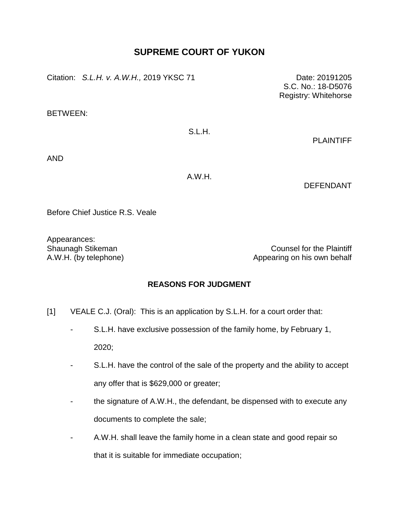## **SUPREME COURT OF YUKON**

Citation: *S.L.H. v. A.W.H.*, 2019 YKSC 71 Date: 20191205

BETWEEN:

## S.L.H.

PLAINTIFF

S.C. No.: 18-D5076 Registry: Whitehorse

AND

A.W.H.

DEFENDANT

Before Chief Justice R.S. Veale

Appearances:

Shaunagh Stikeman Counsel for the Plaintiff A.W.H. (by telephone) and a subset of the Appearing on his own behalf

## **REASONS FOR JUDGMENT**

- [1] VEALE C.J. (Oral): This is an application by S.L.H. for a court order that:
	- S.L.H. have exclusive possession of the family home, by February 1, 2020;
	- S.L.H. have the control of the sale of the property and the ability to accept any offer that is \$629,000 or greater;
	- the signature of A.W.H., the defendant, be dispensed with to execute any documents to complete the sale;
	- A.W.H. shall leave the family home in a clean state and good repair so that it is suitable for immediate occupation;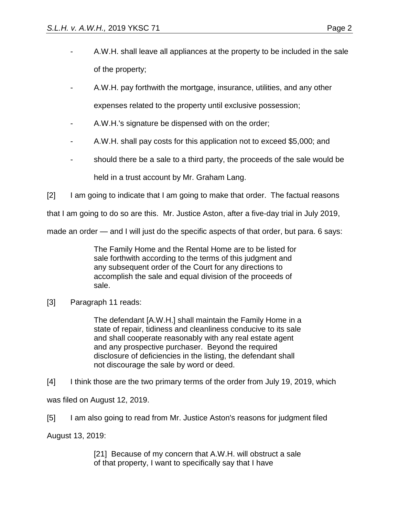- A.W.H. shall leave all appliances at the property to be included in the sale of the property;
- A.W.H. pay forthwith the mortgage, insurance, utilities, and any other expenses related to the property until exclusive possession;
- A.W.H.'s signature be dispensed with on the order;
- A.W.H. shall pay costs for this application not to exceed \$5,000; and
- should there be a sale to a third party, the proceeds of the sale would be held in a trust account by Mr. Graham Lang.

[2] I am going to indicate that I am going to make that order. The factual reasons

that I am going to do so are this. Mr. Justice Aston, after a five-day trial in July 2019,

made an order — and I will just do the specific aspects of that order, but para. 6 says:

The Family Home and the Rental Home are to be listed for sale forthwith according to the terms of this judgment and any subsequent order of the Court for any directions to accomplish the sale and equal division of the proceeds of sale.

## [3] Paragraph 11 reads:

The defendant [A.W.H.] shall maintain the Family Home in a state of repair, tidiness and cleanliness conducive to its sale and shall cooperate reasonably with any real estate agent and any prospective purchaser. Beyond the required disclosure of deficiencies in the listing, the defendant shall not discourage the sale by word or deed.

[4] I think those are the two primary terms of the order from July 19, 2019, which

was filed on August 12, 2019.

[5] I am also going to read from Mr. Justice Aston's reasons for judgment filed

August 13, 2019:

[21] Because of my concern that A.W.H. will obstruct a sale of that property, I want to specifically say that I have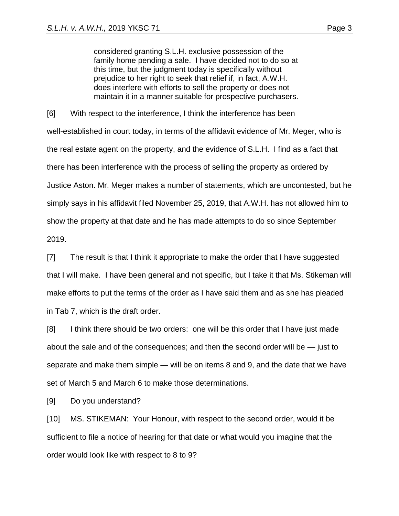considered granting S.L.H. exclusive possession of the family home pending a sale. I have decided not to do so at this time, but the judgment today is specifically without prejudice to her right to seek that relief if, in fact, A.W.H. does interfere with efforts to sell the property or does not maintain it in a manner suitable for prospective purchasers.

[6] With respect to the interference, I think the interference has been well-established in court today, in terms of the affidavit evidence of Mr. Meger, who is the real estate agent on the property, and the evidence of S.L.H. I find as a fact that there has been interference with the process of selling the property as ordered by Justice Aston. Mr. Meger makes a number of statements, which are uncontested, but he simply says in his affidavit filed November 25, 2019, that A.W.H. has not allowed him to show the property at that date and he has made attempts to do so since September 2019.

[7] The result is that I think it appropriate to make the order that I have suggested that I will make. I have been general and not specific, but I take it that Ms. Stikeman will make efforts to put the terms of the order as I have said them and as she has pleaded in Tab 7, which is the draft order.

[8] I think there should be two orders: one will be this order that I have just made about the sale and of the consequences; and then the second order will be — just to separate and make them simple — will be on items 8 and 9, and the date that we have set of March 5 and March 6 to make those determinations.

[9] Do you understand?

[10] MS. STIKEMAN: Your Honour, with respect to the second order, would it be sufficient to file a notice of hearing for that date or what would you imagine that the order would look like with respect to 8 to 9?